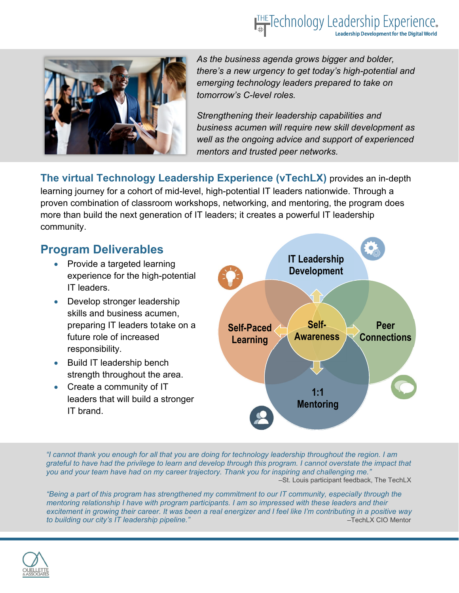## **ITHE Technology Leadership Experience.**



*As the business agenda grows bigger and bolder, there's a new urgency to get today's high-potential and emerging technology leaders prepared to take on tomorrow's C-level roles.* 

*Strengthening their leadership capabilities and business acumen will require new skill development as well as the ongoing advice and support of experienced mentors and trusted peer networks.* 

**The virtual Technology Leadership Experience (vTechLX)** provides an in-depth learning journey for a cohort of mid-level, high-potential IT leaders nationwide. Through a proven combination of classroom workshops, networking, and mentoring, the program does more than build the next generation of IT leaders; it creates a powerful IT leadership community.

### **Program Deliverables**

- Provide a targeted learning experience for the high-potential IT leaders.
- Develop stronger leadership skills and business acumen, preparing IT leaders to take on a future role of increased responsibility.
- Build IT leadership bench strength throughout the area.
- Create a community of IT leaders that will build a stronger IT brand.



*"I cannot thank you enough for all that you are doing for technology leadership throughout the region. I am grateful to have had the privilege to learn and develop through this program. I cannot overstate the impact that you and your team have had on my career trajectory. Thank you for inspiring and challenging me." –*St. Louis participant feedback, The TechLX

*"Being a part of this program has strengthened my commitment to our IT community, especially through the mentoring relationship I have with program participants. I am so impressed with these leaders and their excitement in growing their career. It was been a real energizer and I feel like I'm contributing in a positive way to building our city's IT leadership pipeline."* –TechLX CIO Mentor

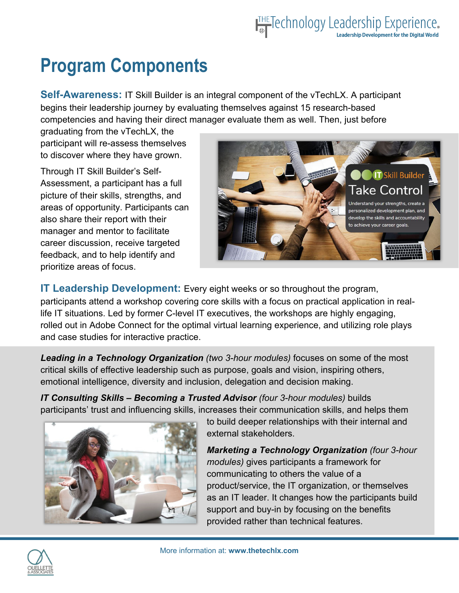# THE Technology Leadership Experience.

## **Program Components**

**Self-Awareness:** IT Skill Builder is an integral component of the vTechLX. A participant begins their leadership journey by evaluating themselves against 15 research-based competencies and having their direct manager evaluate them as well. Then, just before

graduating from the vTechLX, the participant will re-assess themselves to discover where they have grown.

Through IT Skill Builder's Self-Assessment, a participant has a full picture of their skills, strengths, and areas of opportunity. Participants can also share their report with their manager and mentor to facilitate career discussion, receive targeted feedback, and to help identify and prioritize areas of focus.



**IT Leadership Development:** Every eight weeks or so throughout the program, participants attend a workshop covering core skills with a focus on practical application in reallife IT situations. Led by former C-level IT executives, the workshops are highly engaging, rolled out in Adobe Connect for the optimal virtual learning experience, and utilizing role plays and case studies for interactive practice.

*Leading in a Technology Organization (two 3-hour modules)* focuses on some of the most critical skills of effective leadership such as purpose, goals and vision, inspiring others, emotional intelligence, diversity and inclusion, delegation and decision making.

*IT Consulting Skills – Becoming a Trusted Advisor (four 3-hour modules)* builds participants' trust and influencing skills, increases their communication skills, and helps them



to build deeper relationships with their internal and external stakeholders.

*Marketing a Technology Organization (four 3-hour modules)* gives participants a framework for communicating to others the value of a product/service, the IT organization, or themselves as an IT leader. It changes how the participants build support and buy-in by focusing on the benefits provided rather than technical features.